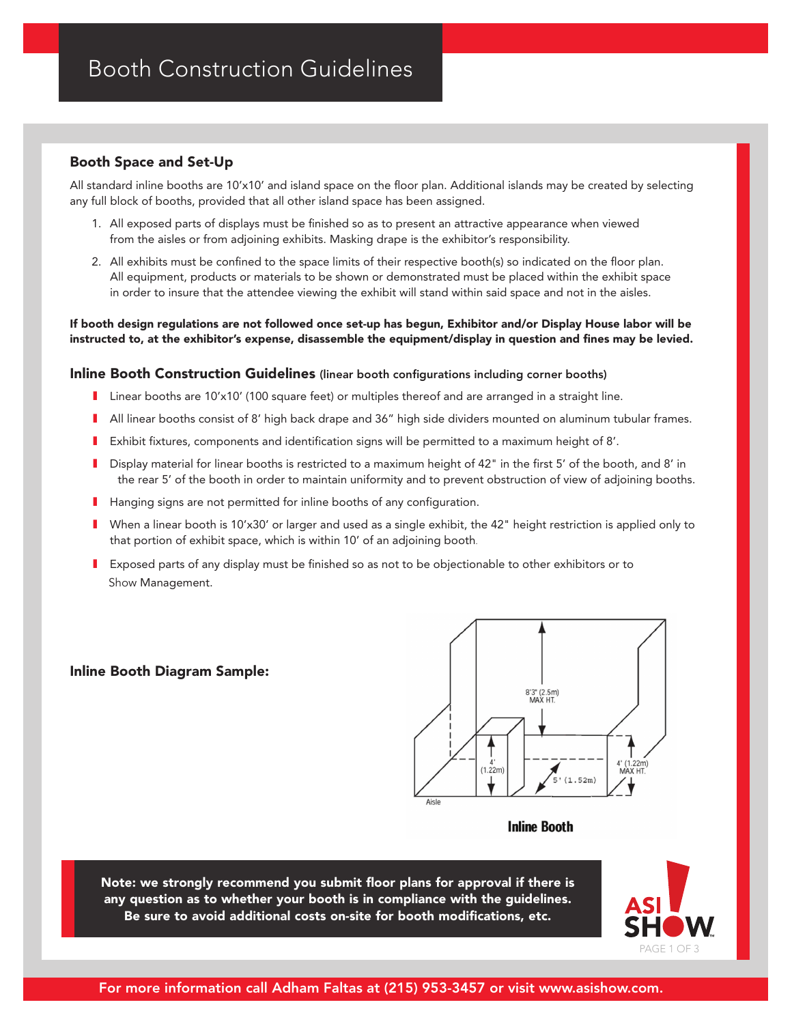# Booth Space and Set-Up

All standard inline booths are 10'x10' and island space on the floor plan. Additional islands may be created by selecting any full block of booths, provided that all other island space has been assigned.

- 1. All exposed parts of displays must be finished so as to present an attractive appearance when viewed from the aisles or from adjoining exhibits. Masking drape is the exhibitor's responsibility.
- 2. All exhibits must be confined to the space limits of their respective booth(s) so indicated on the floor plan. All equipment, products or materials to be shown or demonstrated must be placed within the exhibit space in order to insure that the attendee viewing the exhibit will stand within said space and not in the aisles.

#### If booth design regulations are not followed once set-up has begun, Exhibitor and/or Display House labor will be instructed to, at the exhibitor's expense, disassemble the equipment/display in question and fines may be levied.

### Inline Booth Construction Guidelines (linear booth configurations including corner booths)

- I Linear booths are 10'x10' (100 square feet) or multiples thereof and are arranged in a straight line.
- I All linear booths consist of 8' high back drape and 36" high side dividers mounted on aluminum tubular frames.
- I Exhibit fixtures, components and identification signs will be permitted to a maximum height of 8'.
- I Display material for linear booths is restricted to a maximum height of 42" in the first 5' of the booth, and 8' in the rear 5' of the booth in order to maintain uniformity and to prevent obstruction of view of adjoining booths.
- I Hanging signs are not permitted for inline booths of any configuration.
- I When a linear booth is 10'x30' or larger and used as a single exhibit, the 42" height restriction is applied only to that portion of exhibit space, which is within 10' of an adjoining booth.
- I Exposed parts of any display must be finished so as not to be objectionable to other exhibitors or to Show Management.

### Inline Booth Diagram Sample:



### **Inline Booth**

Note: we strongly recommend you submit floor plans for approval if there is any question as to whether your booth is in compliance with the guidelines. Be sure to avoid additional costs on-site for booth modifications, etc.

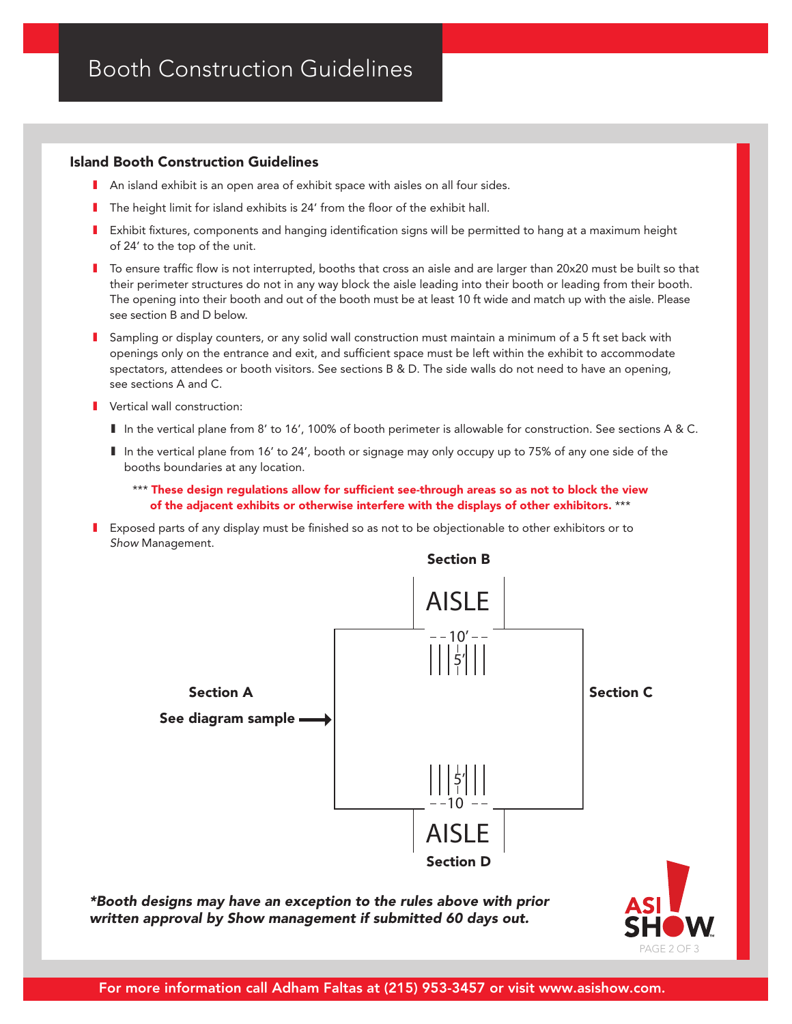### Island Booth Construction Guidelines

- **I** An island exhibit is an open area of exhibit space with aisles on all four sides.
- **I** The height limit for island exhibits is 24' from the floor of the exhibit hall.
- I Exhibit fixtures, components and hanging identification signs will be permitted to hang at a maximum height of 24' to the top of the unit.
- I To ensure traffic flow is not interrupted, booths that cross an aisle and are larger than 20x20 must be built so that their perimeter structures do not in any way block the aisle leading into their booth or leading from their booth. The opening into their booth and out of the booth must be at least 10 ft wide and match up with the aisle. Please see section B and D below.
- I Sampling or display counters, or any solid wall construction must maintain a minimum of a 5 ft set back with openings only on the entrance and exit, and sufficient space must be left within the exhibit to accommodate spectators, attendees or booth visitors. See sections B & D. The side walls do not need to have an opening, see sections A and C.
- Vertical wall construction:
	- I In the vertical plane from 8' to 16', 100% of booth perimeter is allowable for construction. See sections A & C.
	- I In the vertical plane from 16' to 24', booth or signage may only occupy up to 75% of any one side of the booths boundaries at any location.
		- \*\*\* These design regulations allow for sufficient see-through areas so as not to block the view of the adjacent exhibits or otherwise interfere with the displays of other exhibitors. \*\*\*
- I Exposed parts of any display must be finished so as not to be objectionable to other exhibitors or to *Show* Management.